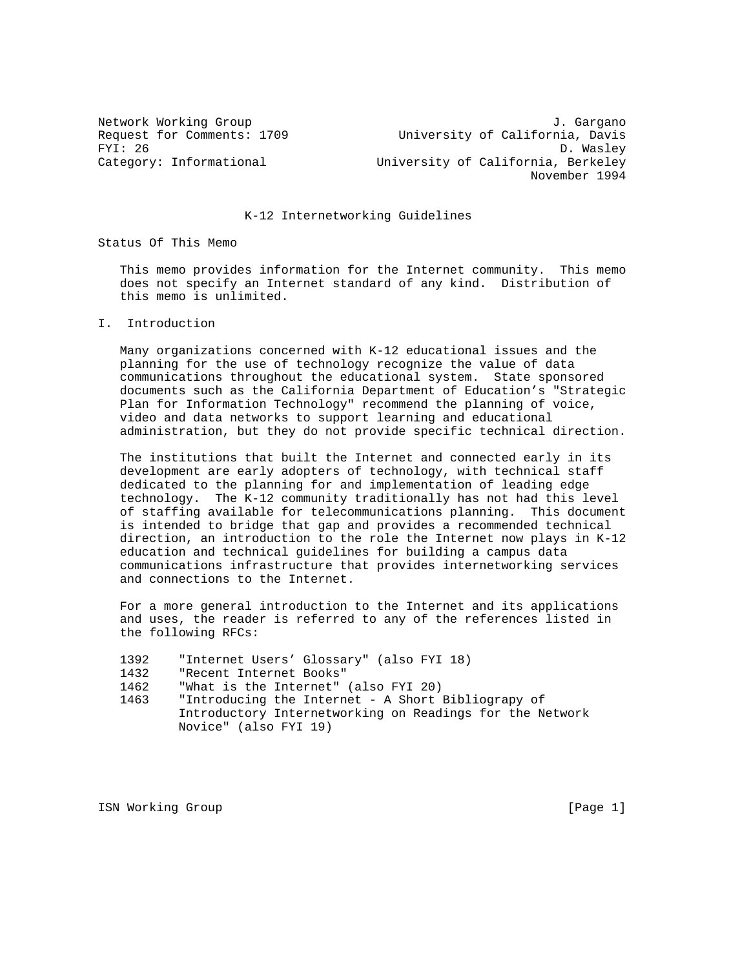Network Working Group J. Gargano Request for Comments: 1709 University of California, Davis<br>FYI: 26 D. Wasley FYI: 26 D. Wasley Category: Informational **Easist** University of California, Berkeley November 1994

# K-12 Internetworking Guidelines

Status Of This Memo

 This memo provides information for the Internet community. This memo does not specify an Internet standard of any kind. Distribution of this memo is unlimited.

I. Introduction

 Many organizations concerned with K-12 educational issues and the planning for the use of technology recognize the value of data communications throughout the educational system. State sponsored documents such as the California Department of Education's "Strategic Plan for Information Technology" recommend the planning of voice, video and data networks to support learning and educational administration, but they do not provide specific technical direction.

 The institutions that built the Internet and connected early in its development are early adopters of technology, with technical staff dedicated to the planning for and implementation of leading edge technology. The K-12 community traditionally has not had this level of staffing available for telecommunications planning. This document is intended to bridge that gap and provides a recommended technical direction, an introduction to the role the Internet now plays in K-12 education and technical guidelines for building a campus data communications infrastructure that provides internetworking services and connections to the Internet.

 For a more general introduction to the Internet and its applications and uses, the reader is referred to any of the references listed in the following RFCs:

- 1392 "Internet Users' Glossary" (also FYI 18)
- 1432 "Recent Internet Books"
- 1462 "What is the Internet" (also FYI 20)
- 1463 "Introducing the Internet A Short Bibliograpy of Introductory Internetworking on Readings for the Network Novice" (also FYI 19)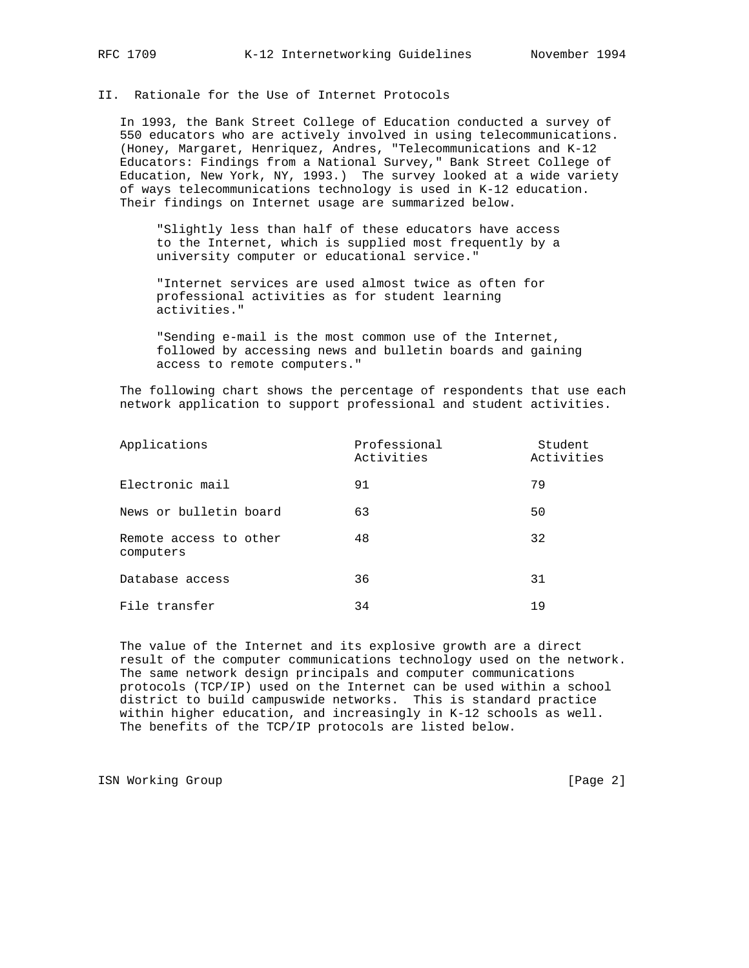II. Rationale for the Use of Internet Protocols

 In 1993, the Bank Street College of Education conducted a survey of 550 educators who are actively involved in using telecommunications. (Honey, Margaret, Henriquez, Andres, "Telecommunications and K-12 Educators: Findings from a National Survey," Bank Street College of Education, New York, NY, 1993.) The survey looked at a wide variety of ways telecommunications technology is used in K-12 education. Their findings on Internet usage are summarized below.

 "Slightly less than half of these educators have access to the Internet, which is supplied most frequently by a university computer or educational service."

 "Internet services are used almost twice as often for professional activities as for student learning activities."

 "Sending e-mail is the most common use of the Internet, followed by accessing news and bulletin boards and gaining access to remote computers."

 The following chart shows the percentage of respondents that use each network application to support professional and student activities.

| Applications                        | Professional<br>Activities | Student<br>Activities |
|-------------------------------------|----------------------------|-----------------------|
| Electronic mail                     | 91                         | 79                    |
| News or bulletin board              | 63                         | 50                    |
| Remote access to other<br>computers | 48                         | 32                    |
| Database access                     | 36                         | 31                    |
| File transfer                       | 34                         | 19                    |

 The value of the Internet and its explosive growth are a direct result of the computer communications technology used on the network. The same network design principals and computer communications protocols (TCP/IP) used on the Internet can be used within a school district to build campuswide networks. This is standard practice within higher education, and increasingly in K-12 schools as well. The benefits of the TCP/IP protocols are listed below.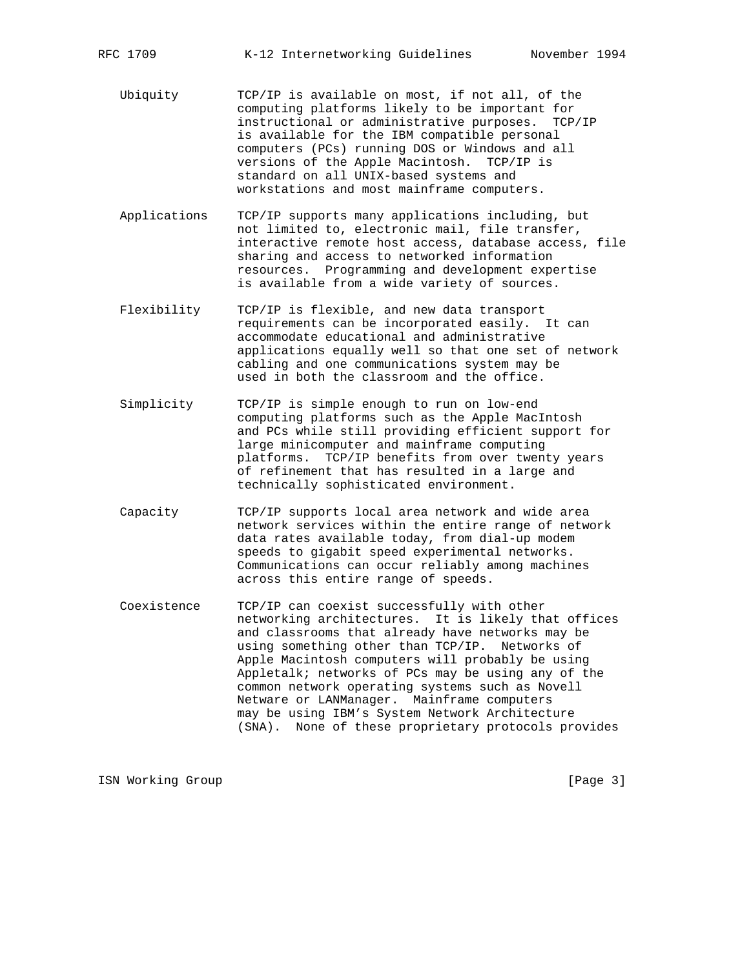- Ubiquity TCP/IP is available on most, if not all, of the computing platforms likely to be important for instructional or administrative purposes. TCP/IP is available for the IBM compatible personal computers (PCs) running DOS or Windows and all versions of the Apple Macintosh. TCP/IP is standard on all UNIX-based systems and workstations and most mainframe computers.
- Applications TCP/IP supports many applications including, but not limited to, electronic mail, file transfer, interactive remote host access, database access, file sharing and access to networked information resources. Programming and development expertise is available from a wide variety of sources.
- Flexibility TCP/IP is flexible, and new data transport requirements can be incorporated easily. It can accommodate educational and administrative applications equally well so that one set of network cabling and one communications system may be used in both the classroom and the office.
- Simplicity TCP/IP is simple enough to run on low-end computing platforms such as the Apple MacIntosh and PCs while still providing efficient support for large minicomputer and mainframe computing platforms. TCP/IP benefits from over twenty years of refinement that has resulted in a large and technically sophisticated environment.
- Capacity TCP/IP supports local area network and wide area network services within the entire range of network data rates available today, from dial-up modem speeds to gigabit speed experimental networks. Communications can occur reliably among machines across this entire range of speeds.
- Coexistence TCP/IP can coexist successfully with other networking architectures. It is likely that offices and classrooms that already have networks may be using something other than TCP/IP. Networks of Apple Macintosh computers will probably be using Appletalk; networks of PCs may be using any of the common network operating systems such as Novell Netware or LANManager. Mainframe computers may be using IBM's System Network Architecture (SNA). None of these proprietary protocols provides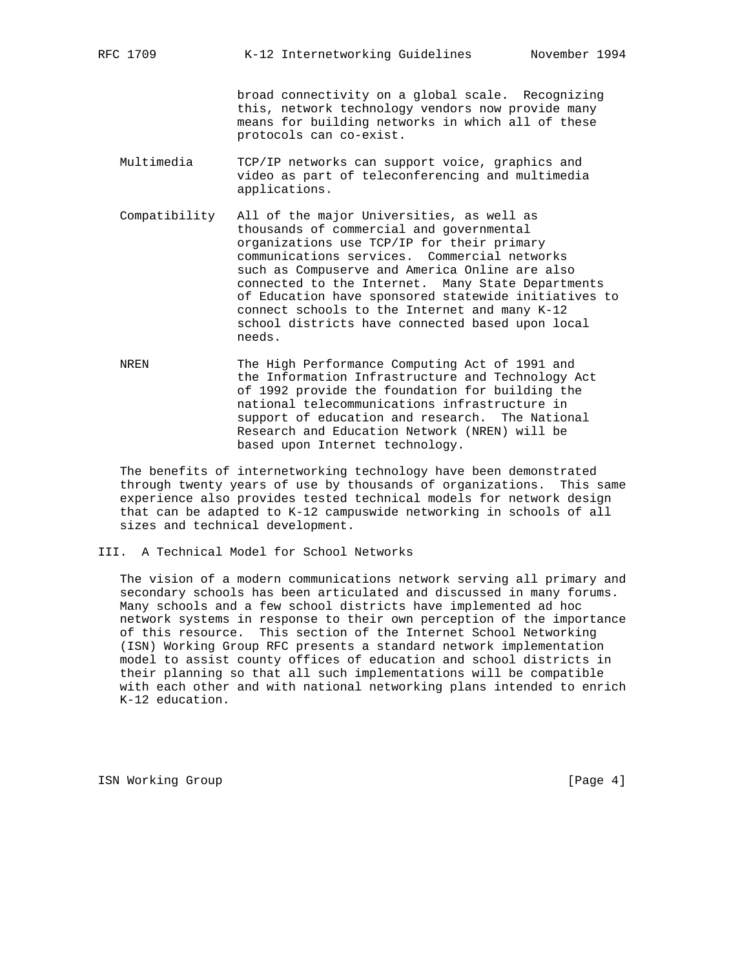broad connectivity on a global scale. Recognizing this, network technology vendors now provide many means for building networks in which all of these protocols can co-exist.

- Multimedia TCP/IP networks can support voice, graphics and video as part of teleconferencing and multimedia applications.
- Compatibility All of the major Universities, as well as thousands of commercial and governmental organizations use TCP/IP for their primary communications services. Commercial networks such as Compuserve and America Online are also connected to the Internet. Many State Departments of Education have sponsored statewide initiatives to connect schools to the Internet and many K-12 school districts have connected based upon local needs.
- NREN The High Performance Computing Act of 1991 and the Information Infrastructure and Technology Act of 1992 provide the foundation for building the national telecommunications infrastructure in support of education and research. The National Research and Education Network (NREN) will be based upon Internet technology.

 The benefits of internetworking technology have been demonstrated through twenty years of use by thousands of organizations. This same experience also provides tested technical models for network design that can be adapted to K-12 campuswide networking in schools of all sizes and technical development.

# III. A Technical Model for School Networks

 The vision of a modern communications network serving all primary and secondary schools has been articulated and discussed in many forums. Many schools and a few school districts have implemented ad hoc network systems in response to their own perception of the importance of this resource. This section of the Internet School Networking (ISN) Working Group RFC presents a standard network implementation model to assist county offices of education and school districts in their planning so that all such implementations will be compatible with each other and with national networking plans intended to enrich K-12 education.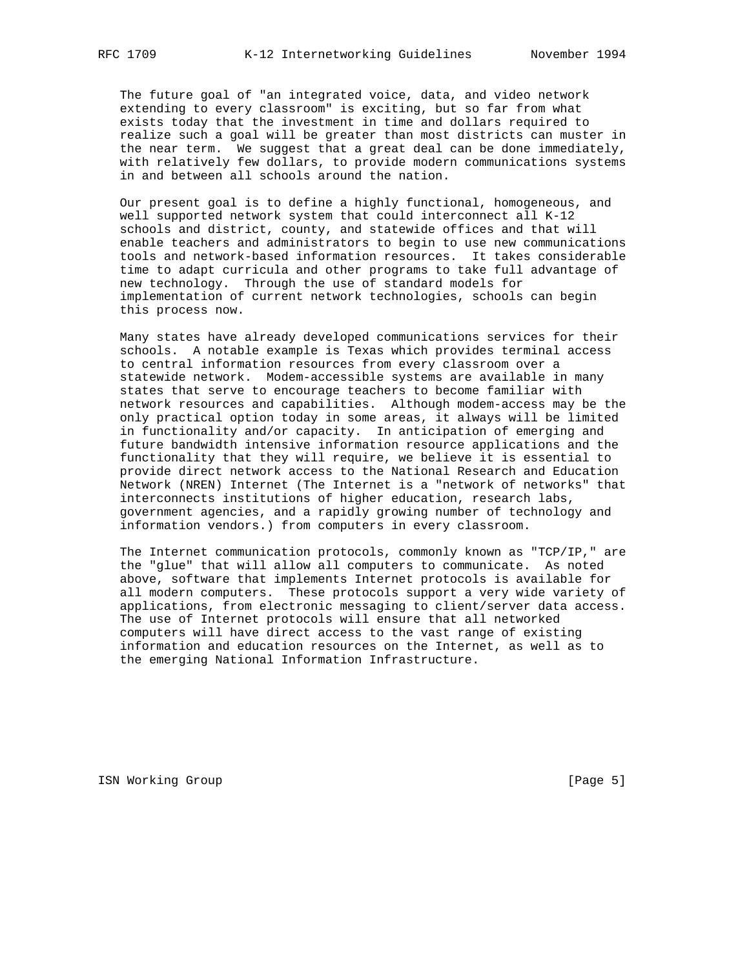The future goal of "an integrated voice, data, and video network extending to every classroom" is exciting, but so far from what exists today that the investment in time and dollars required to realize such a goal will be greater than most districts can muster in the near term. We suggest that a great deal can be done immediately, with relatively few dollars, to provide modern communications systems in and between all schools around the nation.

 Our present goal is to define a highly functional, homogeneous, and well supported network system that could interconnect all K-12 schools and district, county, and statewide offices and that will enable teachers and administrators to begin to use new communications tools and network-based information resources. It takes considerable time to adapt curricula and other programs to take full advantage of new technology. Through the use of standard models for implementation of current network technologies, schools can begin this process now.

 Many states have already developed communications services for their schools. A notable example is Texas which provides terminal access to central information resources from every classroom over a statewide network. Modem-accessible systems are available in many states that serve to encourage teachers to become familiar with network resources and capabilities. Although modem-access may be the only practical option today in some areas, it always will be limited in functionality and/or capacity. In anticipation of emerging and future bandwidth intensive information resource applications and the functionality that they will require, we believe it is essential to provide direct network access to the National Research and Education Network (NREN) Internet (The Internet is a "network of networks" that interconnects institutions of higher education, research labs, government agencies, and a rapidly growing number of technology and information vendors.) from computers in every classroom.

 The Internet communication protocols, commonly known as "TCP/IP," are the "glue" that will allow all computers to communicate. As noted above, software that implements Internet protocols is available for all modern computers. These protocols support a very wide variety of applications, from electronic messaging to client/server data access. The use of Internet protocols will ensure that all networked computers will have direct access to the vast range of existing information and education resources on the Internet, as well as to the emerging National Information Infrastructure.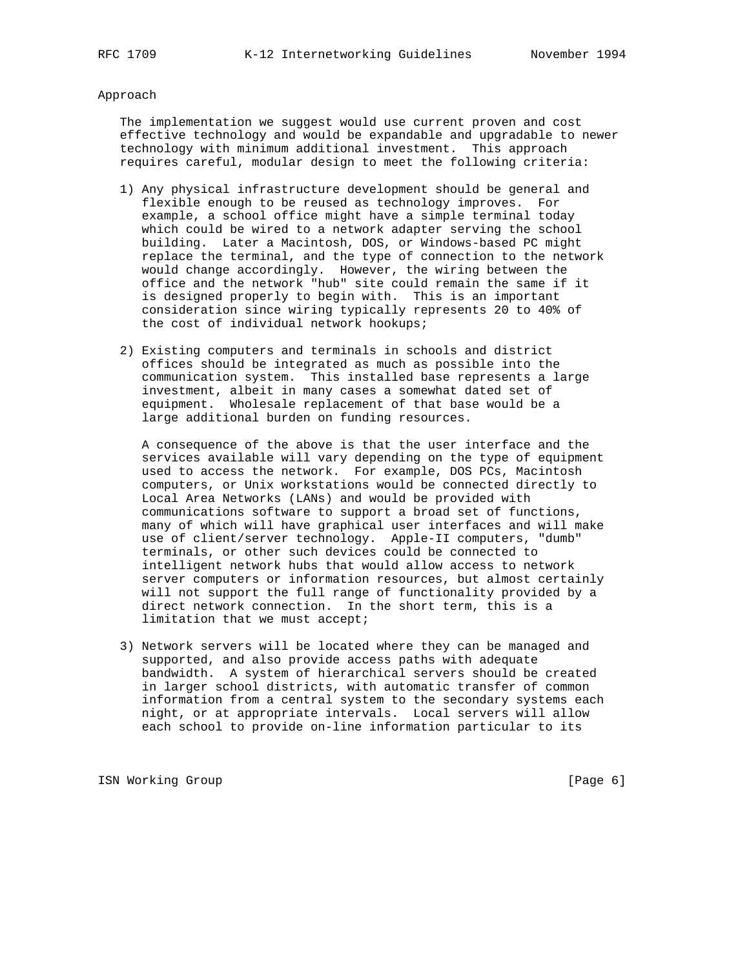# Approach

 The implementation we suggest would use current proven and cost effective technology and would be expandable and upgradable to newer technology with minimum additional investment. This approach requires careful, modular design to meet the following criteria:

- 1) Any physical infrastructure development should be general and flexible enough to be reused as technology improves. For example, a school office might have a simple terminal today which could be wired to a network adapter serving the school building. Later a Macintosh, DOS, or Windows-based PC might replace the terminal, and the type of connection to the network would change accordingly. However, the wiring between the office and the network "hub" site could remain the same if it is designed properly to begin with. This is an important consideration since wiring typically represents 20 to 40% of the cost of individual network hookups;
- 2) Existing computers and terminals in schools and district offices should be integrated as much as possible into the communication system. This installed base represents a large investment, albeit in many cases a somewhat dated set of equipment. Wholesale replacement of that base would be a large additional burden on funding resources.

 A consequence of the above is that the user interface and the services available will vary depending on the type of equipment used to access the network. For example, DOS PCs, Macintosh computers, or Unix workstations would be connected directly to Local Area Networks (LANs) and would be provided with communications software to support a broad set of functions, many of which will have graphical user interfaces and will make use of client/server technology. Apple-II computers, "dumb" terminals, or other such devices could be connected to intelligent network hubs that would allow access to network server computers or information resources, but almost certainly will not support the full range of functionality provided by a direct network connection. In the short term, this is a limitation that we must accept;

 3) Network servers will be located where they can be managed and supported, and also provide access paths with adequate bandwidth. A system of hierarchical servers should be created in larger school districts, with automatic transfer of common information from a central system to the secondary systems each night, or at appropriate intervals. Local servers will allow each school to provide on-line information particular to its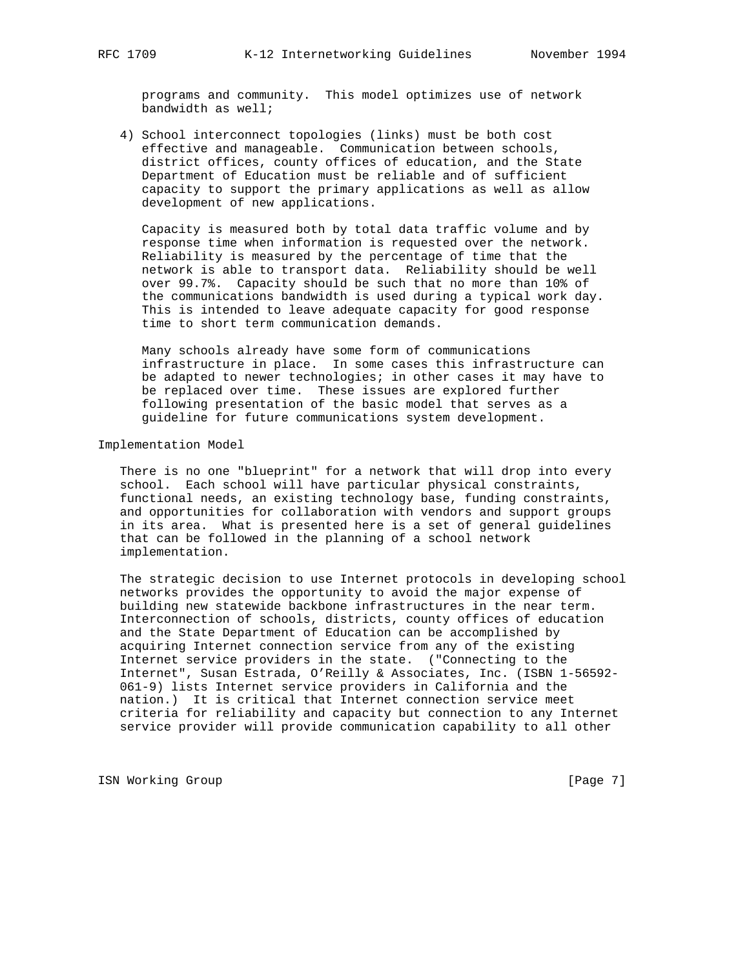programs and community. This model optimizes use of network bandwidth as well;

 4) School interconnect topologies (links) must be both cost effective and manageable. Communication between schools, district offices, county offices of education, and the State Department of Education must be reliable and of sufficient capacity to support the primary applications as well as allow development of new applications.

 Capacity is measured both by total data traffic volume and by response time when information is requested over the network. Reliability is measured by the percentage of time that the network is able to transport data. Reliability should be well over 99.7%. Capacity should be such that no more than 10% of the communications bandwidth is used during a typical work day. This is intended to leave adequate capacity for good response time to short term communication demands.

 Many schools already have some form of communications infrastructure in place. In some cases this infrastructure can be adapted to newer technologies; in other cases it may have to be replaced over time. These issues are explored further following presentation of the basic model that serves as a guideline for future communications system development.

Implementation Model

There is no one "blueprint" for a network that will drop into every school. Each school will have particular physical constraints, functional needs, an existing technology base, funding constraints, and opportunities for collaboration with vendors and support groups in its area. What is presented here is a set of general guidelines that can be followed in the planning of a school network implementation.

 The strategic decision to use Internet protocols in developing school networks provides the opportunity to avoid the major expense of building new statewide backbone infrastructures in the near term. Interconnection of schools, districts, county offices of education and the State Department of Education can be accomplished by acquiring Internet connection service from any of the existing Internet service providers in the state. ("Connecting to the Internet", Susan Estrada, O'Reilly & Associates, Inc. (ISBN 1-56592- 061-9) lists Internet service providers in California and the nation.) It is critical that Internet connection service meet criteria for reliability and capacity but connection to any Internet service provider will provide communication capability to all other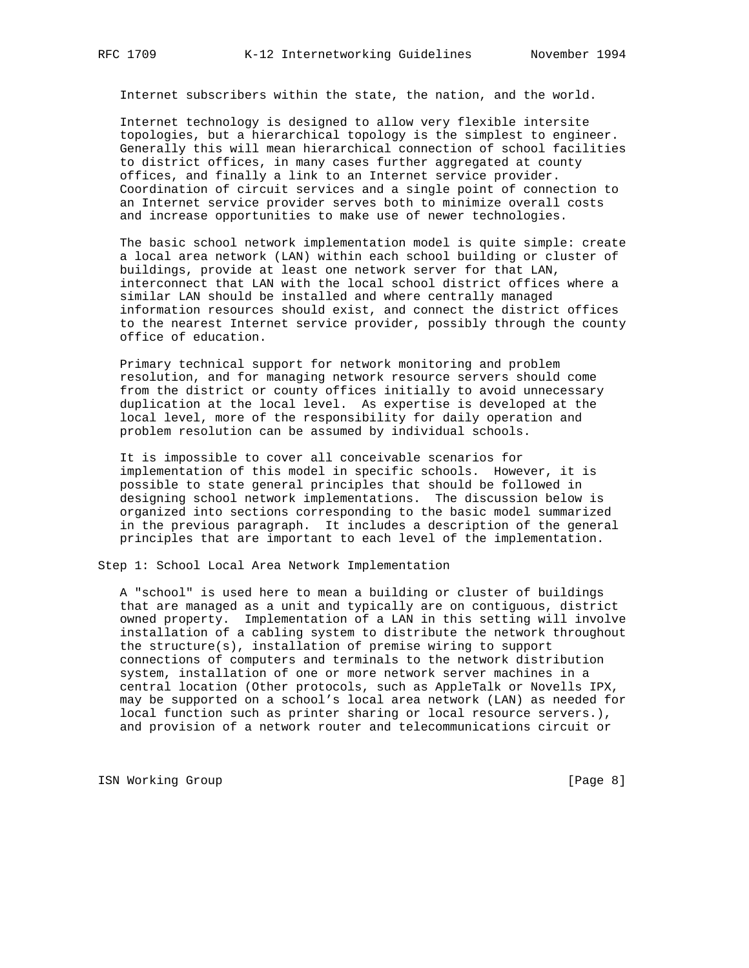Internet subscribers within the state, the nation, and the world.

 Internet technology is designed to allow very flexible intersite topologies, but a hierarchical topology is the simplest to engineer. Generally this will mean hierarchical connection of school facilities to district offices, in many cases further aggregated at county offices, and finally a link to an Internet service provider. Coordination of circuit services and a single point of connection to an Internet service provider serves both to minimize overall costs and increase opportunities to make use of newer technologies.

 The basic school network implementation model is quite simple: create a local area network (LAN) within each school building or cluster of buildings, provide at least one network server for that LAN, interconnect that LAN with the local school district offices where a similar LAN should be installed and where centrally managed information resources should exist, and connect the district offices to the nearest Internet service provider, possibly through the county office of education.

 Primary technical support for network monitoring and problem resolution, and for managing network resource servers should come from the district or county offices initially to avoid unnecessary duplication at the local level. As expertise is developed at the local level, more of the responsibility for daily operation and problem resolution can be assumed by individual schools.

 It is impossible to cover all conceivable scenarios for implementation of this model in specific schools. However, it is possible to state general principles that should be followed in designing school network implementations. The discussion below is organized into sections corresponding to the basic model summarized in the previous paragraph. It includes a description of the general principles that are important to each level of the implementation.

Step 1: School Local Area Network Implementation

 A "school" is used here to mean a building or cluster of buildings that are managed as a unit and typically are on contiguous, district owned property. Implementation of a LAN in this setting will involve installation of a cabling system to distribute the network throughout the structure(s), installation of premise wiring to support connections of computers and terminals to the network distribution system, installation of one or more network server machines in a central location (Other protocols, such as AppleTalk or Novells IPX, may be supported on a school's local area network (LAN) as needed for local function such as printer sharing or local resource servers.), and provision of a network router and telecommunications circuit or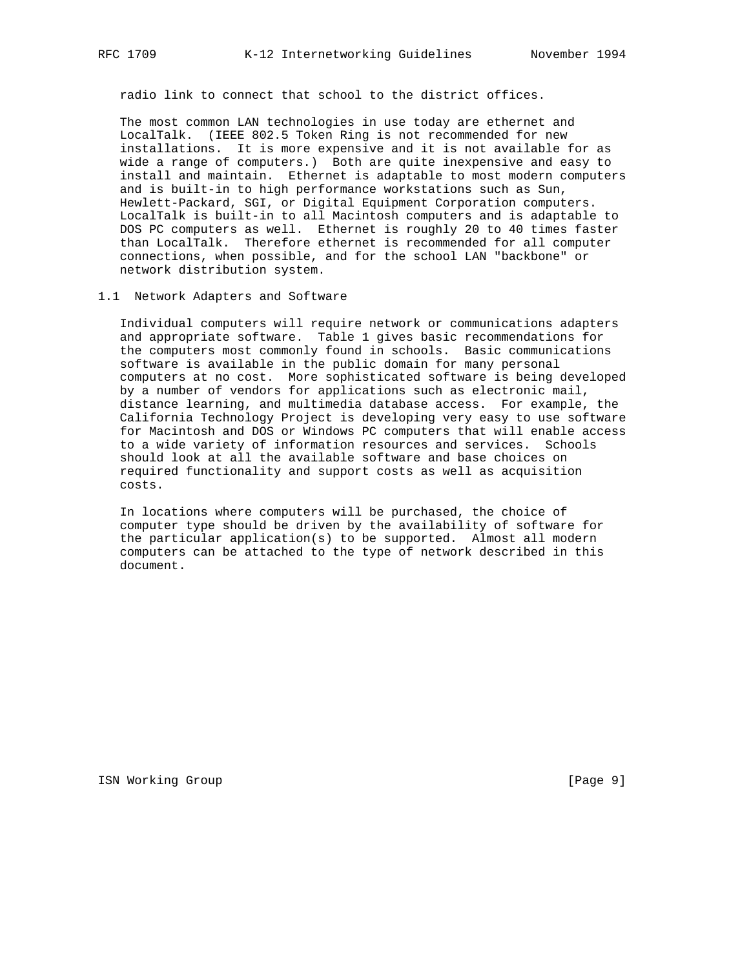radio link to connect that school to the district offices.

 The most common LAN technologies in use today are ethernet and LocalTalk. (IEEE 802.5 Token Ring is not recommended for new installations. It is more expensive and it is not available for as wide a range of computers.) Both are quite inexpensive and easy to install and maintain. Ethernet is adaptable to most modern computers and is built-in to high performance workstations such as Sun, Hewlett-Packard, SGI, or Digital Equipment Corporation computers. LocalTalk is built-in to all Macintosh computers and is adaptable to DOS PC computers as well. Ethernet is roughly 20 to 40 times faster than LocalTalk. Therefore ethernet is recommended for all computer connections, when possible, and for the school LAN "backbone" or network distribution system.

1.1 Network Adapters and Software

 Individual computers will require network or communications adapters and appropriate software. Table 1 gives basic recommendations for the computers most commonly found in schools. Basic communications software is available in the public domain for many personal computers at no cost. More sophisticated software is being developed by a number of vendors for applications such as electronic mail, distance learning, and multimedia database access. For example, the California Technology Project is developing very easy to use software for Macintosh and DOS or Windows PC computers that will enable access to a wide variety of information resources and services. Schools should look at all the available software and base choices on required functionality and support costs as well as acquisition costs.

 In locations where computers will be purchased, the choice of computer type should be driven by the availability of software for the particular application(s) to be supported. Almost all modern computers can be attached to the type of network described in this document.

ISN Working Group **Example 20** and the set of the set of the set of the set of the set of the set of the set of the set of the set of the set of the set of the set of the set of the set of the set of the set of the set of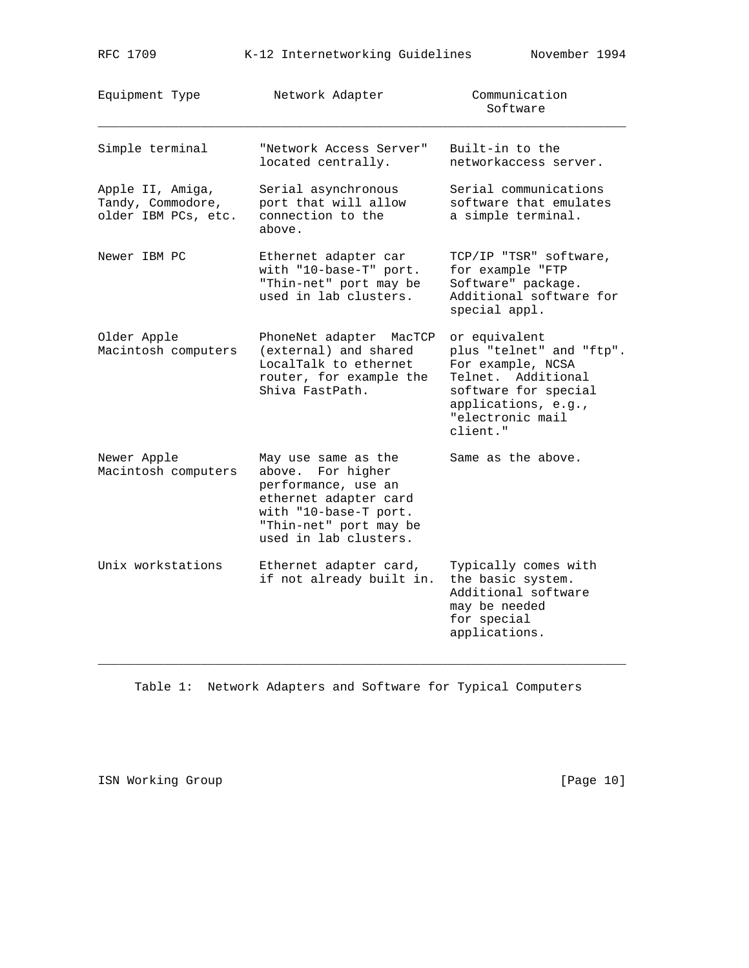| Equipment Type                                               | Network Adapter                                                                                                                                                      | Communication<br>Software                                                                                                                                           |
|--------------------------------------------------------------|----------------------------------------------------------------------------------------------------------------------------------------------------------------------|---------------------------------------------------------------------------------------------------------------------------------------------------------------------|
| Simple terminal                                              | "Network Access Server"<br>located centrally.                                                                                                                        | Built-in to the<br>networkaccess server.                                                                                                                            |
| Apple II, Amiga,<br>Tandy, Commodore,<br>older IBM PCs, etc. | Serial asynchronous<br>port that will allow<br>connection to the<br>above.                                                                                           | Serial communications<br>software that emulates<br>a simple terminal.                                                                                               |
| Newer IBM PC                                                 | Ethernet adapter car<br>with "10-base-T" port.<br>"Thin-net" port may be<br>used in lab clusters.                                                                    | TCP/IP "TSR" software,<br>for example "FTP<br>Software" package.<br>Additional software for<br>special appl.                                                        |
| Older Apple<br>Macintosh computers                           | PhoneNet adapter MacTCP<br>(external) and shared<br>LocalTalk to ethernet<br>router, for example the<br>Shiva FastPath.                                              | or equivalent<br>plus "telnet" and "ftp".<br>For example, NCSA<br>Telnet. Additional<br>software for special<br>applications, e.g.,<br>"electronic mail<br>client." |
| Newer Apple<br>Macintosh computers                           | May use same as the<br>above. For higher<br>performance, use an<br>ethernet adapter card<br>with "10-base-T port.<br>"Thin-net" port may be<br>used in lab clusters. | Same as the above.                                                                                                                                                  |
| Unix workstations                                            | Ethernet adapter card,<br>if not already built in.                                                                                                                   | Typically comes with<br>the basic system.<br>Additional software<br>may be needed<br>for special<br>applications.                                                   |

Table 1: Network Adapters and Software for Typical Computers

\_\_\_\_\_\_\_\_\_\_\_\_\_\_\_\_\_\_\_\_\_\_\_\_\_\_\_\_\_\_\_\_\_\_\_\_\_\_\_\_\_\_\_\_\_\_\_\_\_\_\_\_\_\_\_\_\_\_\_\_\_\_\_\_\_\_\_\_\_\_\_\_

ISN Working Group [Page 10]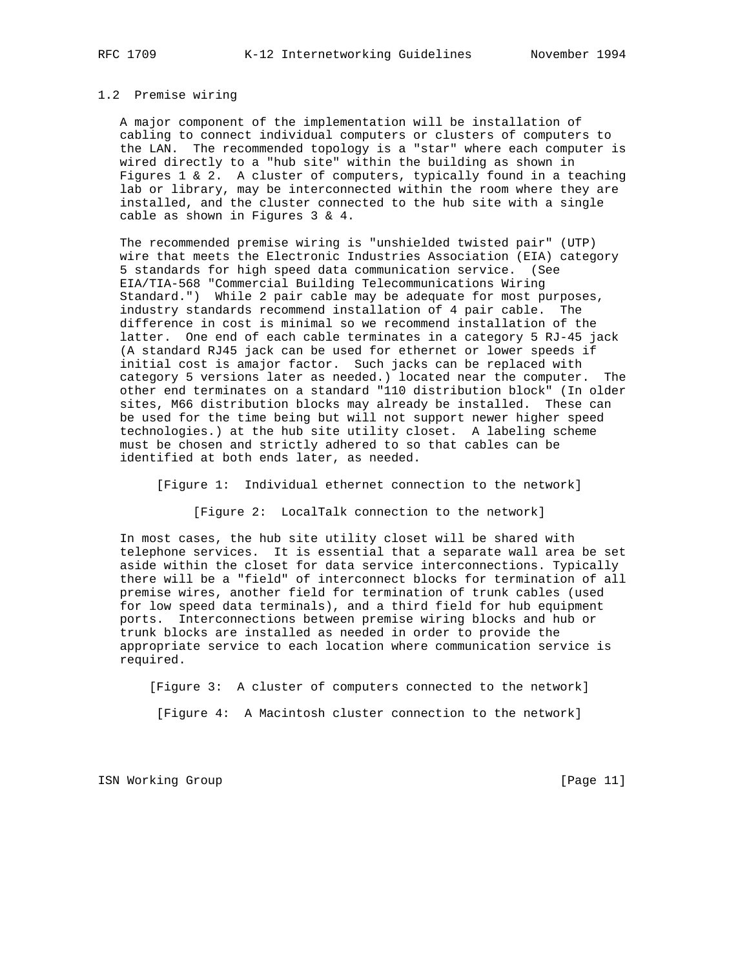## 1.2 Premise wiring

 A major component of the implementation will be installation of cabling to connect individual computers or clusters of computers to the LAN. The recommended topology is a "star" where each computer is wired directly to a "hub site" within the building as shown in Figures 1 & 2. A cluster of computers, typically found in a teaching lab or library, may be interconnected within the room where they are installed, and the cluster connected to the hub site with a single cable as shown in Figures 3 & 4.

 The recommended premise wiring is "unshielded twisted pair" (UTP) wire that meets the Electronic Industries Association (EIA) category 5 standards for high speed data communication service. (See EIA/TIA-568 "Commercial Building Telecommunications Wiring Standard.") While 2 pair cable may be adequate for most purposes, industry standards recommend installation of 4 pair cable. The difference in cost is minimal so we recommend installation of the latter. One end of each cable terminates in a category 5 RJ-45 jack (A standard RJ45 jack can be used for ethernet or lower speeds if initial cost is amajor factor. Such jacks can be replaced with category 5 versions later as needed.) located near the computer. The other end terminates on a standard "110 distribution block" (In older sites, M66 distribution blocks may already be installed. These can be used for the time being but will not support newer higher speed technologies.) at the hub site utility closet. A labeling scheme must be chosen and strictly adhered to so that cables can be identified at both ends later, as needed.

[Figure 1: Individual ethernet connection to the network]

[Figure 2: LocalTalk connection to the network]

 In most cases, the hub site utility closet will be shared with telephone services. It is essential that a separate wall area be set aside within the closet for data service interconnections. Typically there will be a "field" of interconnect blocks for termination of all premise wires, another field for termination of trunk cables (used for low speed data terminals), and a third field for hub equipment ports. Interconnections between premise wiring blocks and hub or trunk blocks are installed as needed in order to provide the appropriate service to each location where communication service is required.

 [Figure 3: A cluster of computers connected to the network] [Figure 4: A Macintosh cluster connection to the network]

ISN Working Group [Page 11]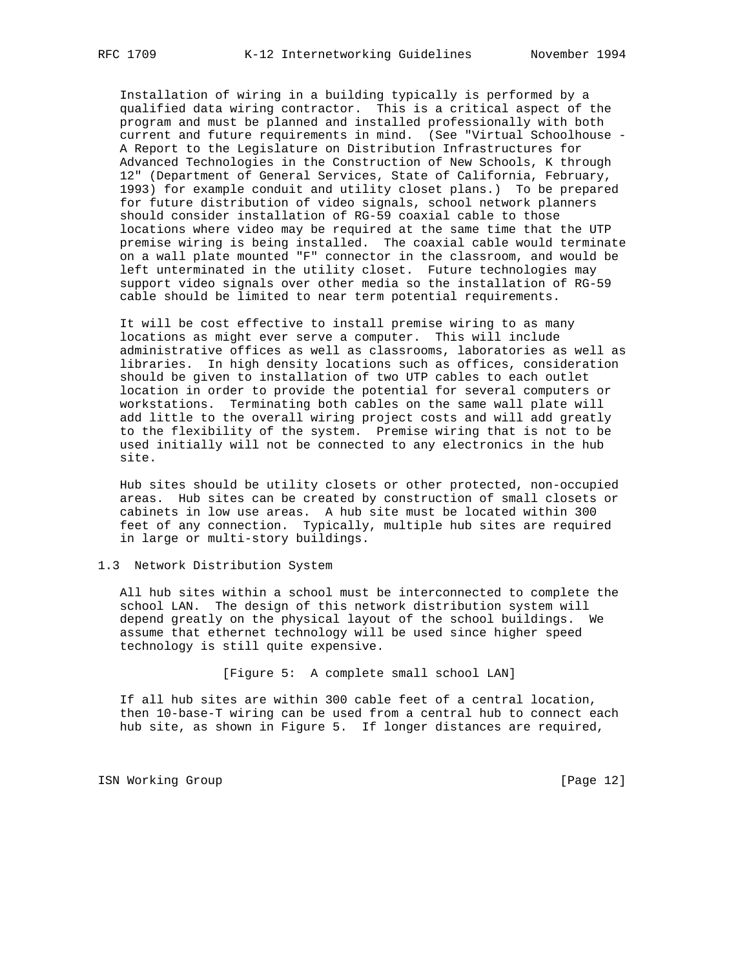Installation of wiring in a building typically is performed by a qualified data wiring contractor. This is a critical aspect of the program and must be planned and installed professionally with both current and future requirements in mind. (See "Virtual Schoolhouse - A Report to the Legislature on Distribution Infrastructures for Advanced Technologies in the Construction of New Schools, K through 12" (Department of General Services, State of California, February, 1993) for example conduit and utility closet plans.) To be prepared for future distribution of video signals, school network planners should consider installation of RG-59 coaxial cable to those locations where video may be required at the same time that the UTP premise wiring is being installed. The coaxial cable would terminate on a wall plate mounted "F" connector in the classroom, and would be left unterminated in the utility closet. Future technologies may support video signals over other media so the installation of RG-59 cable should be limited to near term potential requirements.

 It will be cost effective to install premise wiring to as many locations as might ever serve a computer. This will include administrative offices as well as classrooms, laboratories as well as libraries. In high density locations such as offices, consideration should be given to installation of two UTP cables to each outlet location in order to provide the potential for several computers or workstations. Terminating both cables on the same wall plate will add little to the overall wiring project costs and will add greatly to the flexibility of the system. Premise wiring that is not to be used initially will not be connected to any electronics in the hub site.

 Hub sites should be utility closets or other protected, non-occupied areas. Hub sites can be created by construction of small closets or cabinets in low use areas. A hub site must be located within 300 feet of any connection. Typically, multiple hub sites are required in large or multi-story buildings.

#### 1.3 Network Distribution System

 All hub sites within a school must be interconnected to complete the school LAN. The design of this network distribution system will depend greatly on the physical layout of the school buildings. We assume that ethernet technology will be used since higher speed technology is still quite expensive.

[Figure 5: A complete small school LAN]

 If all hub sites are within 300 cable feet of a central location, then 10-base-T wiring can be used from a central hub to connect each hub site, as shown in Figure 5. If longer distances are required,

ISN Working Group [Page 12]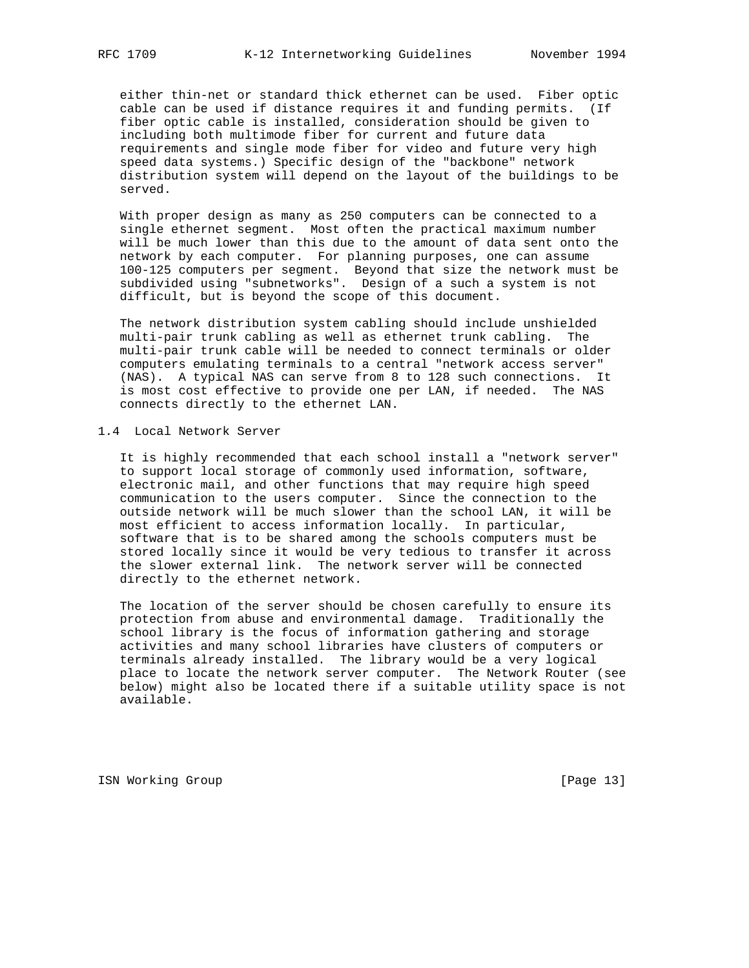either thin-net or standard thick ethernet can be used. Fiber optic cable can be used if distance requires it and funding permits. (If fiber optic cable is installed, consideration should be given to including both multimode fiber for current and future data requirements and single mode fiber for video and future very high speed data systems.) Specific design of the "backbone" network distribution system will depend on the layout of the buildings to be served.

 With proper design as many as 250 computers can be connected to a single ethernet segment. Most often the practical maximum number will be much lower than this due to the amount of data sent onto the network by each computer. For planning purposes, one can assume 100-125 computers per segment. Beyond that size the network must be subdivided using "subnetworks". Design of a such a system is not difficult, but is beyond the scope of this document.

 The network distribution system cabling should include unshielded multi-pair trunk cabling as well as ethernet trunk cabling. The multi-pair trunk cable will be needed to connect terminals or older computers emulating terminals to a central "network access server" (NAS). A typical NAS can serve from 8 to 128 such connections. It is most cost effective to provide one per LAN, if needed. The NAS connects directly to the ethernet LAN.

## 1.4 Local Network Server

 It is highly recommended that each school install a "network server" to support local storage of commonly used information, software, electronic mail, and other functions that may require high speed communication to the users computer. Since the connection to the outside network will be much slower than the school LAN, it will be most efficient to access information locally. In particular, software that is to be shared among the schools computers must be stored locally since it would be very tedious to transfer it across the slower external link. The network server will be connected directly to the ethernet network.

 The location of the server should be chosen carefully to ensure its protection from abuse and environmental damage. Traditionally the school library is the focus of information gathering and storage activities and many school libraries have clusters of computers or terminals already installed. The library would be a very logical place to locate the network server computer. The Network Router (see below) might also be located there if a suitable utility space is not available.

ISN Working Group [Page 13]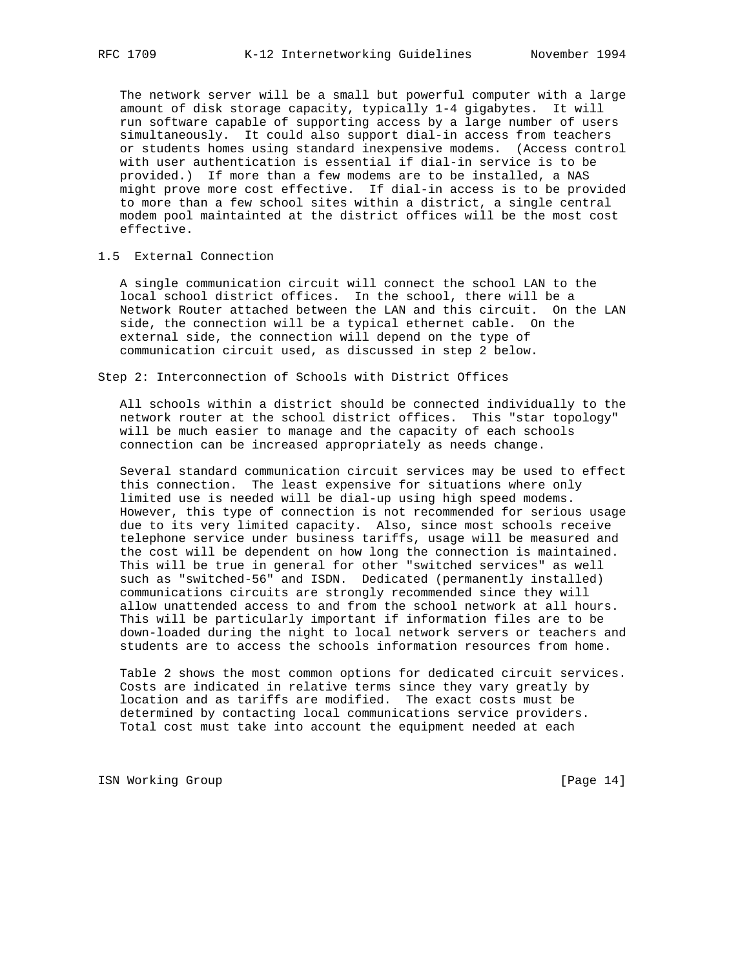The network server will be a small but powerful computer with a large amount of disk storage capacity, typically 1-4 gigabytes. It will run software capable of supporting access by a large number of users simultaneously. It could also support dial-in access from teachers or students homes using standard inexpensive modems. (Access control with user authentication is essential if dial-in service is to be provided.) If more than a few modems are to be installed, a NAS might prove more cost effective. If dial-in access is to be provided to more than a few school sites within a district, a single central modem pool maintainted at the district offices will be the most cost effective.

# 1.5 External Connection

 A single communication circuit will connect the school LAN to the local school district offices. In the school, there will be a Network Router attached between the LAN and this circuit. On the LAN side, the connection will be a typical ethernet cable. On the external side, the connection will depend on the type of communication circuit used, as discussed in step 2 below.

## Step 2: Interconnection of Schools with District Offices

 All schools within a district should be connected individually to the network router at the school district offices. This "star topology" will be much easier to manage and the capacity of each schools connection can be increased appropriately as needs change.

 Several standard communication circuit services may be used to effect this connection. The least expensive for situations where only limited use is needed will be dial-up using high speed modems. However, this type of connection is not recommended for serious usage due to its very limited capacity. Also, since most schools receive telephone service under business tariffs, usage will be measured and the cost will be dependent on how long the connection is maintained. This will be true in general for other "switched services" as well such as "switched-56" and ISDN. Dedicated (permanently installed) communications circuits are strongly recommended since they will allow unattended access to and from the school network at all hours. This will be particularly important if information files are to be down-loaded during the night to local network servers or teachers and students are to access the schools information resources from home.

 Table 2 shows the most common options for dedicated circuit services. Costs are indicated in relative terms since they vary greatly by location and as tariffs are modified. The exact costs must be determined by contacting local communications service providers. Total cost must take into account the equipment needed at each

ISN Working Group [Page 14]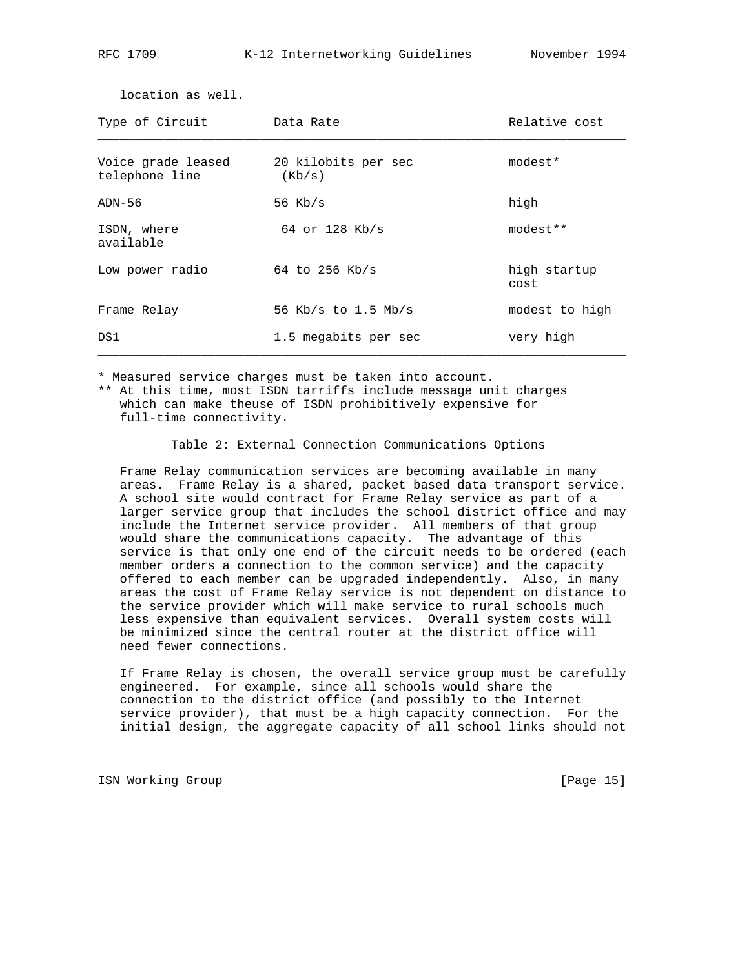location as well.

| Type of Circuit                      | Data Rate                     | Relative cost        |
|--------------------------------------|-------------------------------|----------------------|
| Voice grade leased<br>telephone line | 20 kilobits per sec<br>(Kb/s) | modest*              |
| $ADN-56$                             | 56 $Kb/s$                     | high                 |
| ISDN, where<br>available             | 64 or 128 Kb/s                | modest**             |
| Low power radio                      | 64 to 256 $kb/s$              | high startup<br>cost |
| Frame Relay                          | 56 Kb/s to $1.5$ Mb/s         | modest to high       |
| DS1                                  | 1.5 megabits per sec          | very high            |

\* Measured service charges must be taken into account.

\*\* At this time, most ISDN tarriffs include message unit charges which can make theuse of ISDN prohibitively expensive for full-time connectivity.

Table 2: External Connection Communications Options

 Frame Relay communication services are becoming available in many areas. Frame Relay is a shared, packet based data transport service. A school site would contract for Frame Relay service as part of a larger service group that includes the school district office and may include the Internet service provider. All members of that group would share the communications capacity. The advantage of this service is that only one end of the circuit needs to be ordered (each member orders a connection to the common service) and the capacity offered to each member can be upgraded independently. Also, in many areas the cost of Frame Relay service is not dependent on distance to the service provider which will make service to rural schools much less expensive than equivalent services. Overall system costs will be minimized since the central router at the district office will need fewer connections.

 If Frame Relay is chosen, the overall service group must be carefully engineered. For example, since all schools would share the connection to the district office (and possibly to the Internet service provider), that must be a high capacity connection. For the initial design, the aggregate capacity of all school links should not

ISN Working Group [Page 15]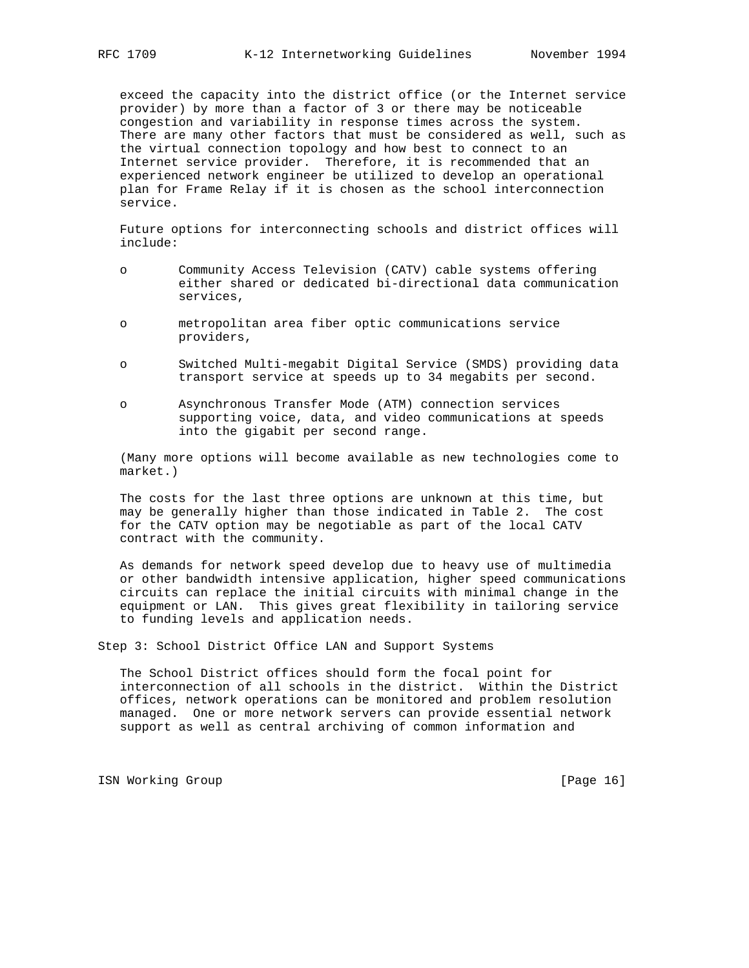exceed the capacity into the district office (or the Internet service provider) by more than a factor of 3 or there may be noticeable congestion and variability in response times across the system. There are many other factors that must be considered as well, such as the virtual connection topology and how best to connect to an Internet service provider. Therefore, it is recommended that an experienced network engineer be utilized to develop an operational plan for Frame Relay if it is chosen as the school interconnection service.

 Future options for interconnecting schools and district offices will include:

- o Community Access Television (CATV) cable systems offering either shared or dedicated bi-directional data communication services,
- o metropolitan area fiber optic communications service providers,
- o Switched Multi-megabit Digital Service (SMDS) providing data transport service at speeds up to 34 megabits per second.
- o Asynchronous Transfer Mode (ATM) connection services supporting voice, data, and video communications at speeds into the gigabit per second range.

 (Many more options will become available as new technologies come to market.)

 The costs for the last three options are unknown at this time, but may be generally higher than those indicated in Table 2. The cost for the CATV option may be negotiable as part of the local CATV contract with the community.

 As demands for network speed develop due to heavy use of multimedia or other bandwidth intensive application, higher speed communications circuits can replace the initial circuits with minimal change in the equipment or LAN. This gives great flexibility in tailoring service to funding levels and application needs.

Step 3: School District Office LAN and Support Systems

 The School District offices should form the focal point for interconnection of all schools in the district. Within the District offices, network operations can be monitored and problem resolution managed. One or more network servers can provide essential network support as well as central archiving of common information and

ISN Working Group [Page 16]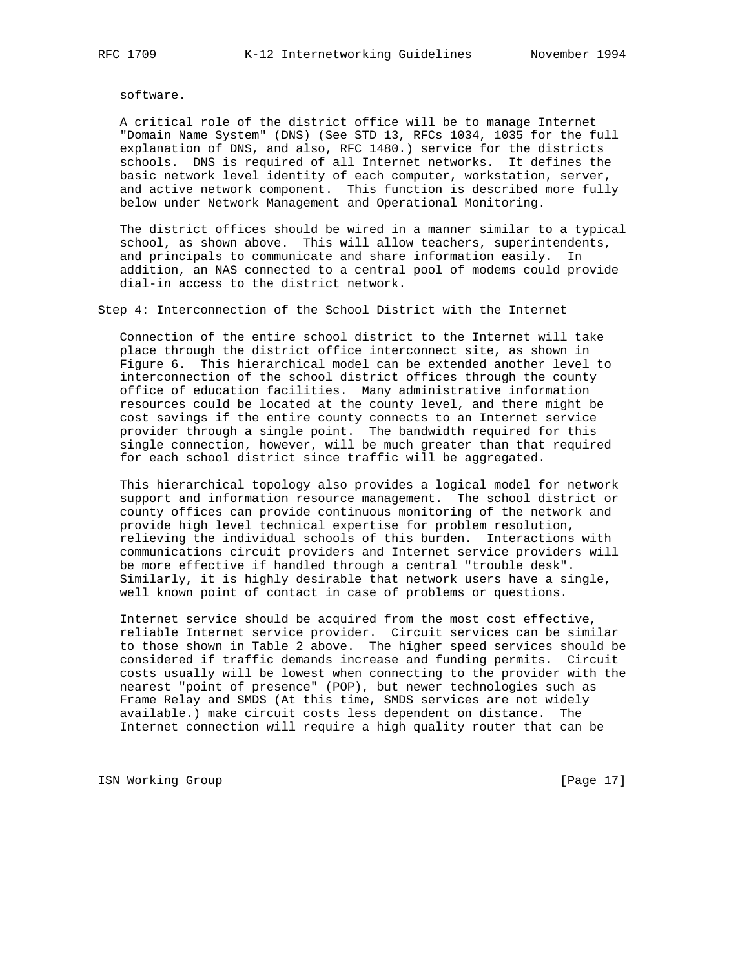software.

 A critical role of the district office will be to manage Internet "Domain Name System" (DNS) (See STD 13, RFCs 1034, 1035 for the full explanation of DNS, and also, RFC 1480.) service for the districts schools. DNS is required of all Internet networks. It defines the basic network level identity of each computer, workstation, server, and active network component. This function is described more fully below under Network Management and Operational Monitoring.

 The district offices should be wired in a manner similar to a typical school, as shown above. This will allow teachers, superintendents, and principals to communicate and share information easily. In addition, an NAS connected to a central pool of modems could provide dial-in access to the district network.

Step 4: Interconnection of the School District with the Internet

 Connection of the entire school district to the Internet will take place through the district office interconnect site, as shown in Figure 6. This hierarchical model can be extended another level to interconnection of the school district offices through the county office of education facilities. Many administrative information resources could be located at the county level, and there might be cost savings if the entire county connects to an Internet service provider through a single point. The bandwidth required for this single connection, however, will be much greater than that required for each school district since traffic will be aggregated.

 This hierarchical topology also provides a logical model for network support and information resource management. The school district or county offices can provide continuous monitoring of the network and provide high level technical expertise for problem resolution, relieving the individual schools of this burden. Interactions with communications circuit providers and Internet service providers will be more effective if handled through a central "trouble desk". Similarly, it is highly desirable that network users have a single, well known point of contact in case of problems or questions.

 Internet service should be acquired from the most cost effective, reliable Internet service provider. Circuit services can be similar to those shown in Table 2 above. The higher speed services should be considered if traffic demands increase and funding permits. Circuit costs usually will be lowest when connecting to the provider with the nearest "point of presence" (POP), but newer technologies such as Frame Relay and SMDS (At this time, SMDS services are not widely available.) make circuit costs less dependent on distance. The Internet connection will require a high quality router that can be

ISN Working Group [Page 17]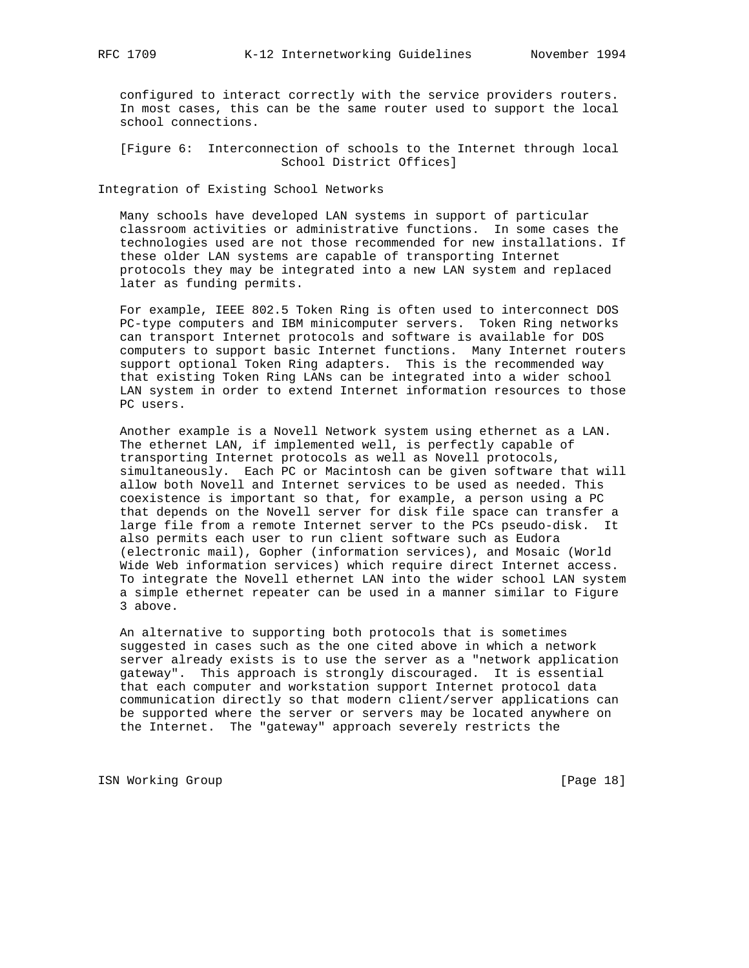configured to interact correctly with the service providers routers. In most cases, this can be the same router used to support the local school connections.

 [Figure 6: Interconnection of schools to the Internet through local School District Offices]

Integration of Existing School Networks

 Many schools have developed LAN systems in support of particular classroom activities or administrative functions. In some cases the technologies used are not those recommended for new installations. If these older LAN systems are capable of transporting Internet protocols they may be integrated into a new LAN system and replaced later as funding permits.

 For example, IEEE 802.5 Token Ring is often used to interconnect DOS PC-type computers and IBM minicomputer servers. Token Ring networks can transport Internet protocols and software is available for DOS computers to support basic Internet functions. Many Internet routers support optional Token Ring adapters. This is the recommended way that existing Token Ring LANs can be integrated into a wider school LAN system in order to extend Internet information resources to those PC users.

 Another example is a Novell Network system using ethernet as a LAN. The ethernet LAN, if implemented well, is perfectly capable of transporting Internet protocols as well as Novell protocols, simultaneously. Each PC or Macintosh can be given software that will allow both Novell and Internet services to be used as needed. This coexistence is important so that, for example, a person using a PC that depends on the Novell server for disk file space can transfer a large file from a remote Internet server to the PCs pseudo-disk. It also permits each user to run client software such as Eudora (electronic mail), Gopher (information services), and Mosaic (World Wide Web information services) which require direct Internet access. To integrate the Novell ethernet LAN into the wider school LAN system a simple ethernet repeater can be used in a manner similar to Figure 3 above.

 An alternative to supporting both protocols that is sometimes suggested in cases such as the one cited above in which a network server already exists is to use the server as a "network application gateway". This approach is strongly discouraged. It is essential that each computer and workstation support Internet protocol data communication directly so that modern client/server applications can be supported where the server or servers may be located anywhere on the Internet. The "gateway" approach severely restricts the

ISN Working Group [Page 18]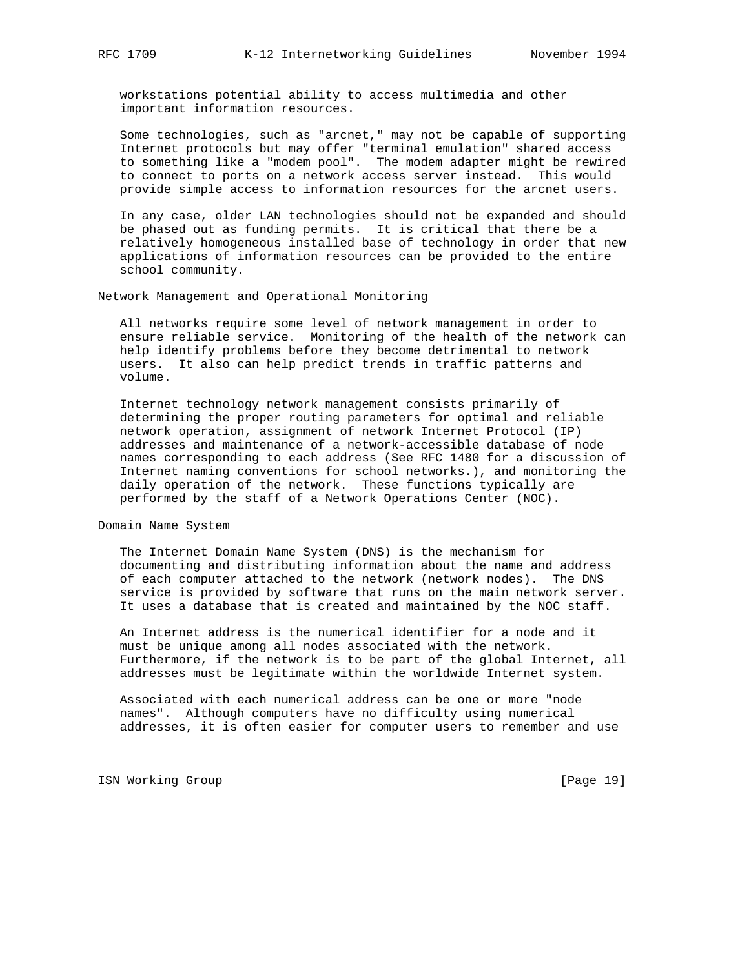workstations potential ability to access multimedia and other important information resources.

 Some technologies, such as "arcnet," may not be capable of supporting Internet protocols but may offer "terminal emulation" shared access to something like a "modem pool". The modem adapter might be rewired to connect to ports on a network access server instead. This would provide simple access to information resources for the arcnet users.

 In any case, older LAN technologies should not be expanded and should be phased out as funding permits. It is critical that there be a relatively homogeneous installed base of technology in order that new applications of information resources can be provided to the entire school community.

Network Management and Operational Monitoring

 All networks require some level of network management in order to ensure reliable service. Monitoring of the health of the network can help identify problems before they become detrimental to network users. It also can help predict trends in traffic patterns and volume.

 Internet technology network management consists primarily of determining the proper routing parameters for optimal and reliable network operation, assignment of network Internet Protocol (IP) addresses and maintenance of a network-accessible database of node names corresponding to each address (See RFC 1480 for a discussion of Internet naming conventions for school networks.), and monitoring the daily operation of the network. These functions typically are performed by the staff of a Network Operations Center (NOC).

Domain Name System

 The Internet Domain Name System (DNS) is the mechanism for documenting and distributing information about the name and address of each computer attached to the network (network nodes). The DNS service is provided by software that runs on the main network server. It uses a database that is created and maintained by the NOC staff.

 An Internet address is the numerical identifier for a node and it must be unique among all nodes associated with the network. Furthermore, if the network is to be part of the global Internet, all addresses must be legitimate within the worldwide Internet system.

 Associated with each numerical address can be one or more "node names". Although computers have no difficulty using numerical addresses, it is often easier for computer users to remember and use

ISN Working Group [Page 19]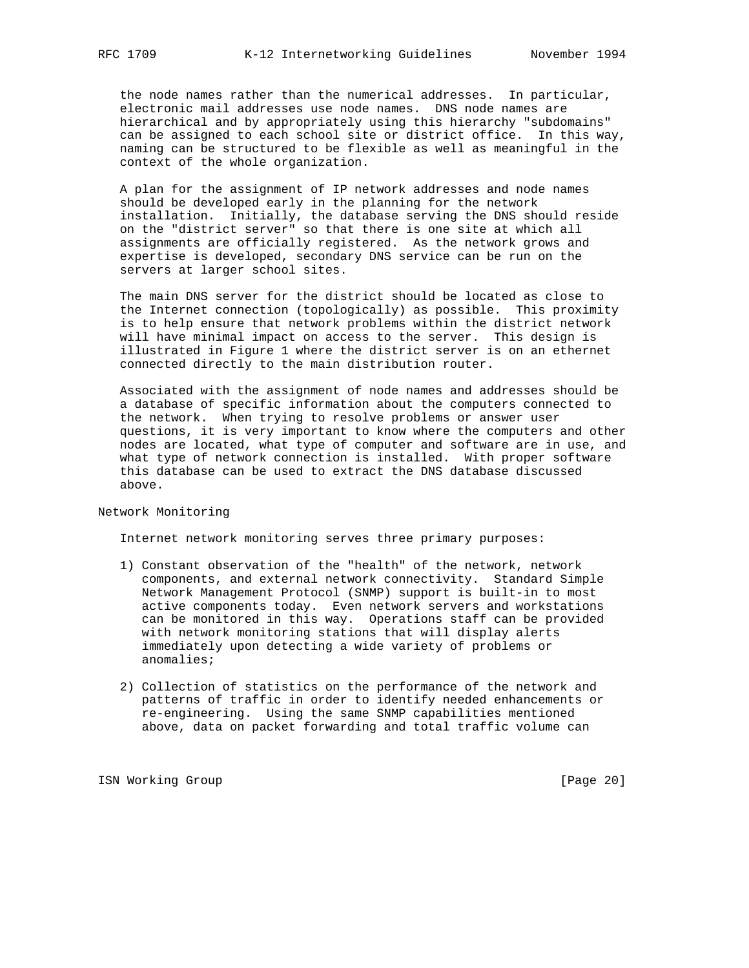the node names rather than the numerical addresses. In particular, electronic mail addresses use node names. DNS node names are hierarchical and by appropriately using this hierarchy "subdomains" can be assigned to each school site or district office. In this way, naming can be structured to be flexible as well as meaningful in the context of the whole organization.

 A plan for the assignment of IP network addresses and node names should be developed early in the planning for the network installation. Initially, the database serving the DNS should reside on the "district server" so that there is one site at which all assignments are officially registered. As the network grows and expertise is developed, secondary DNS service can be run on the servers at larger school sites.

 The main DNS server for the district should be located as close to the Internet connection (topologically) as possible. This proximity is to help ensure that network problems within the district network will have minimal impact on access to the server. This design is illustrated in Figure 1 where the district server is on an ethernet connected directly to the main distribution router.

 Associated with the assignment of node names and addresses should be a database of specific information about the computers connected to the network. When trying to resolve problems or answer user questions, it is very important to know where the computers and other nodes are located, what type of computer and software are in use, and what type of network connection is installed. With proper software this database can be used to extract the DNS database discussed above.

Network Monitoring

Internet network monitoring serves three primary purposes:

- 1) Constant observation of the "health" of the network, network components, and external network connectivity. Standard Simple Network Management Protocol (SNMP) support is built-in to most active components today. Even network servers and workstations can be monitored in this way. Operations staff can be provided with network monitoring stations that will display alerts immediately upon detecting a wide variety of problems or anomalies;
- 2) Collection of statistics on the performance of the network and patterns of traffic in order to identify needed enhancements or re-engineering. Using the same SNMP capabilities mentioned above, data on packet forwarding and total traffic volume can

ISN Working Group [Page 20]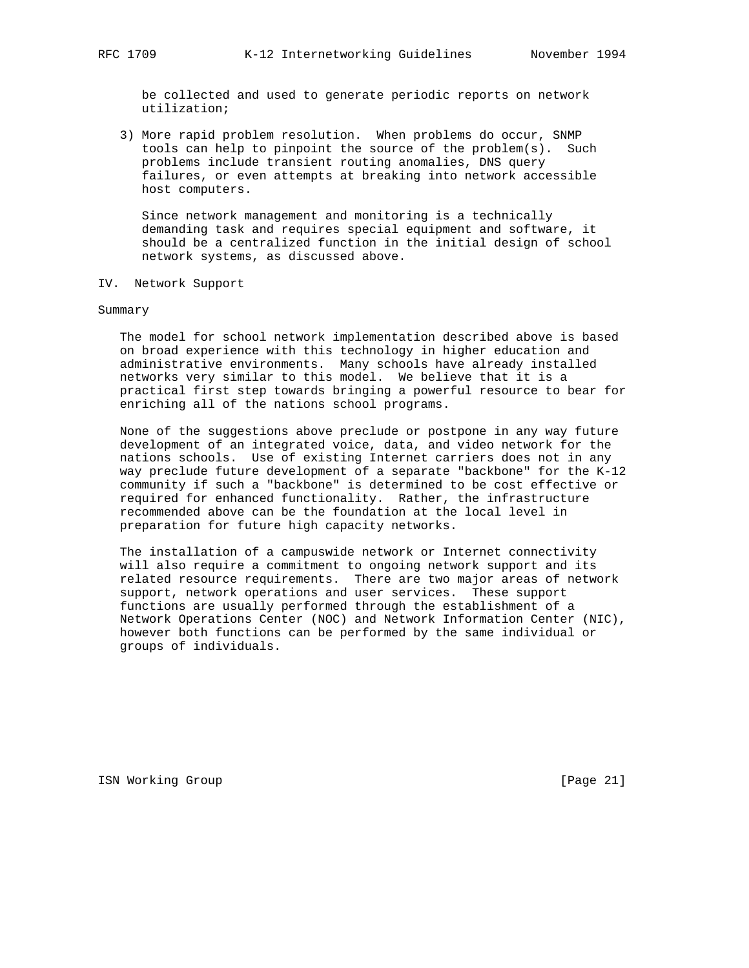be collected and used to generate periodic reports on network utilization;

 3) More rapid problem resolution. When problems do occur, SNMP tools can help to pinpoint the source of the problem(s). Such problems include transient routing anomalies, DNS query failures, or even attempts at breaking into network accessible host computers.

 Since network management and monitoring is a technically demanding task and requires special equipment and software, it should be a centralized function in the initial design of school network systems, as discussed above.

IV. Network Support

#### Summary

 The model for school network implementation described above is based on broad experience with this technology in higher education and administrative environments. Many schools have already installed networks very similar to this model. We believe that it is a practical first step towards bringing a powerful resource to bear for enriching all of the nations school programs.

 None of the suggestions above preclude or postpone in any way future development of an integrated voice, data, and video network for the nations schools. Use of existing Internet carriers does not in any way preclude future development of a separate "backbone" for the K-12 community if such a "backbone" is determined to be cost effective or required for enhanced functionality. Rather, the infrastructure recommended above can be the foundation at the local level in preparation for future high capacity networks.

 The installation of a campuswide network or Internet connectivity will also require a commitment to ongoing network support and its related resource requirements. There are two major areas of network support, network operations and user services. These support functions are usually performed through the establishment of a Network Operations Center (NOC) and Network Information Center (NIC), however both functions can be performed by the same individual or groups of individuals.

ISN Working Group [Page 21]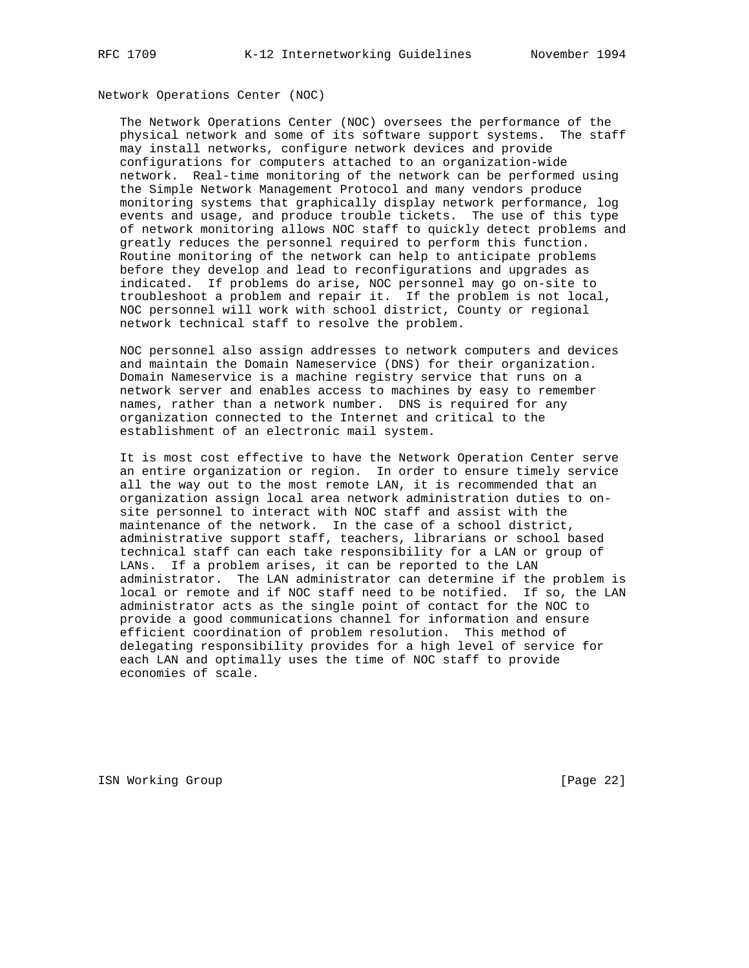Network Operations Center (NOC)

 The Network Operations Center (NOC) oversees the performance of the physical network and some of its software support systems. The staff may install networks, configure network devices and provide configurations for computers attached to an organization-wide network. Real-time monitoring of the network can be performed using the Simple Network Management Protocol and many vendors produce monitoring systems that graphically display network performance, log events and usage, and produce trouble tickets. The use of this type of network monitoring allows NOC staff to quickly detect problems and greatly reduces the personnel required to perform this function. Routine monitoring of the network can help to anticipate problems before they develop and lead to reconfigurations and upgrades as indicated. If problems do arise, NOC personnel may go on-site to troubleshoot a problem and repair it. If the problem is not local, NOC personnel will work with school district, County or regional network technical staff to resolve the problem.

 NOC personnel also assign addresses to network computers and devices and maintain the Domain Nameservice (DNS) for their organization. Domain Nameservice is a machine registry service that runs on a network server and enables access to machines by easy to remember names, rather than a network number. DNS is required for any organization connected to the Internet and critical to the establishment of an electronic mail system.

 It is most cost effective to have the Network Operation Center serve an entire organization or region. In order to ensure timely service all the way out to the most remote LAN, it is recommended that an organization assign local area network administration duties to on site personnel to interact with NOC staff and assist with the maintenance of the network. In the case of a school district, administrative support staff, teachers, librarians or school based technical staff can each take responsibility for a LAN or group of LANs. If a problem arises, it can be reported to the LAN administrator. The LAN administrator can determine if the problem is local or remote and if NOC staff need to be notified. If so, the LAN administrator acts as the single point of contact for the NOC to provide a good communications channel for information and ensure efficient coordination of problem resolution. This method of delegating responsibility provides for a high level of service for each LAN and optimally uses the time of NOC staff to provide economies of scale.

ISN Working Group [Page 22]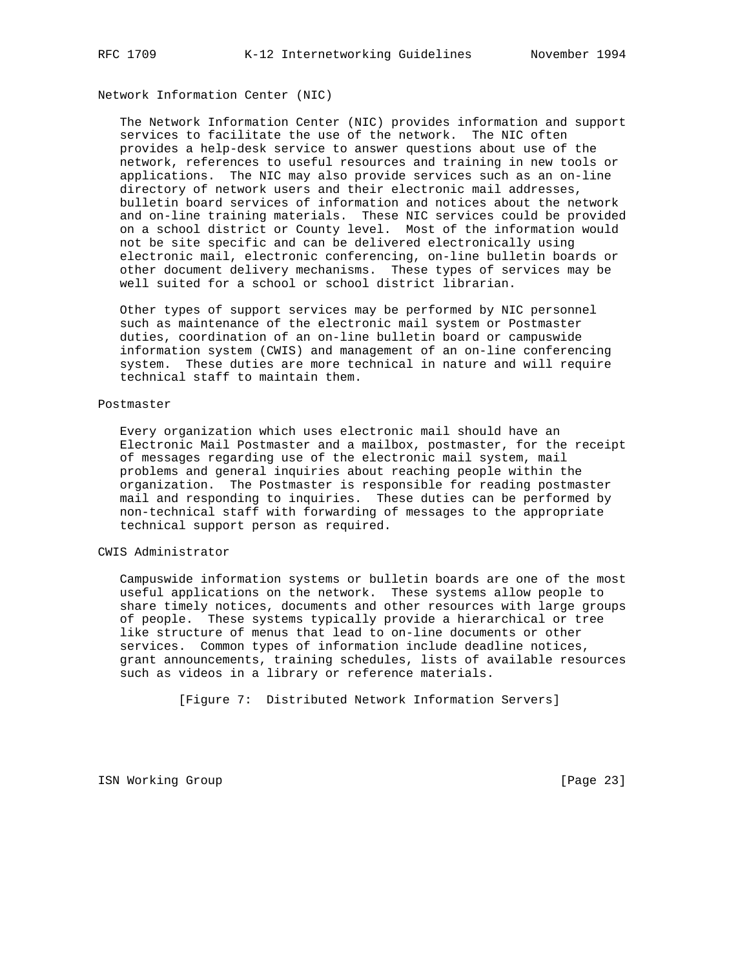Network Information Center (NIC)

 The Network Information Center (NIC) provides information and support services to facilitate the use of the network. The NIC often provides a help-desk service to answer questions about use of the network, references to useful resources and training in new tools or applications. The NIC may also provide services such as an on-line directory of network users and their electronic mail addresses, bulletin board services of information and notices about the network and on-line training materials. These NIC services could be provided on a school district or County level. Most of the information would not be site specific and can be delivered electronically using electronic mail, electronic conferencing, on-line bulletin boards or other document delivery mechanisms. These types of services may be well suited for a school or school district librarian.

 Other types of support services may be performed by NIC personnel such as maintenance of the electronic mail system or Postmaster duties, coordination of an on-line bulletin board or campuswide information system (CWIS) and management of an on-line conferencing system. These duties are more technical in nature and will require technical staff to maintain them.

#### Postmaster

 Every organization which uses electronic mail should have an Electronic Mail Postmaster and a mailbox, postmaster, for the receipt of messages regarding use of the electronic mail system, mail problems and general inquiries about reaching people within the organization. The Postmaster is responsible for reading postmaster mail and responding to inquiries. These duties can be performed by non-technical staff with forwarding of messages to the appropriate technical support person as required.

#### CWIS Administrator

 Campuswide information systems or bulletin boards are one of the most useful applications on the network. These systems allow people to share timely notices, documents and other resources with large groups of people. These systems typically provide a hierarchical or tree like structure of menus that lead to on-line documents or other services. Common types of information include deadline notices, grant announcements, training schedules, lists of available resources such as videos in a library or reference materials.

[Figure 7: Distributed Network Information Servers]

ISN Working Group [Page 23]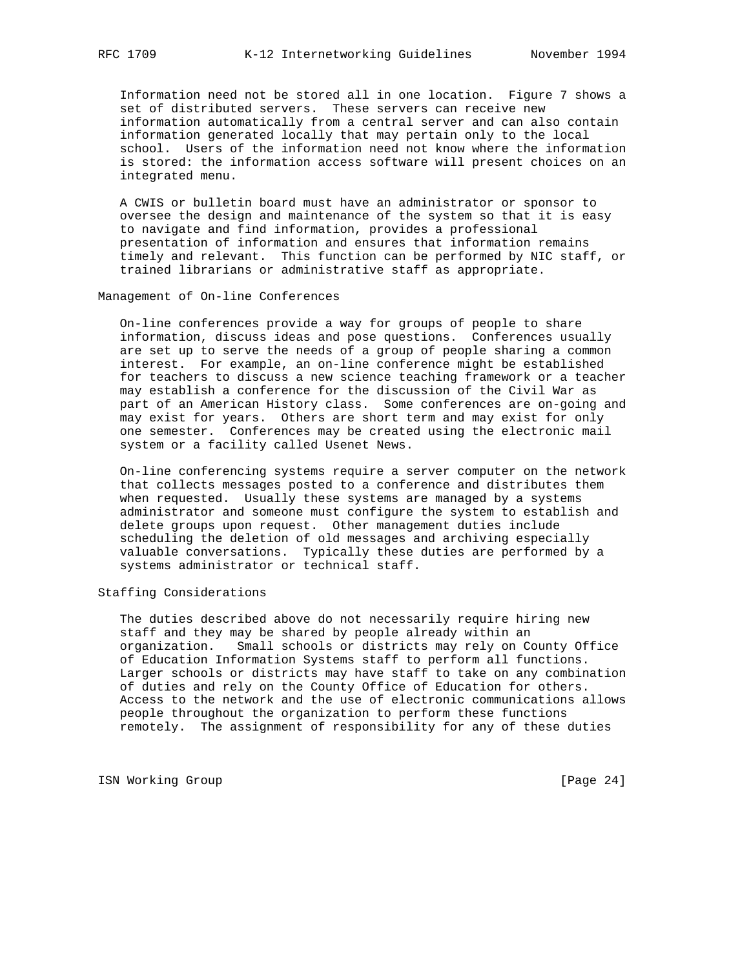Information need not be stored all in one location. Figure 7 shows a set of distributed servers. These servers can receive new information automatically from a central server and can also contain information generated locally that may pertain only to the local school. Users of the information need not know where the information is stored: the information access software will present choices on an integrated menu.

 A CWIS or bulletin board must have an administrator or sponsor to oversee the design and maintenance of the system so that it is easy to navigate and find information, provides a professional presentation of information and ensures that information remains timely and relevant. This function can be performed by NIC staff, or trained librarians or administrative staff as appropriate.

Management of On-line Conferences

 On-line conferences provide a way for groups of people to share information, discuss ideas and pose questions. Conferences usually are set up to serve the needs of a group of people sharing a common interest. For example, an on-line conference might be established for teachers to discuss a new science teaching framework or a teacher may establish a conference for the discussion of the Civil War as part of an American History class. Some conferences are on-going and may exist for years. Others are short term and may exist for only one semester. Conferences may be created using the electronic mail system or a facility called Usenet News.

 On-line conferencing systems require a server computer on the network that collects messages posted to a conference and distributes them when requested. Usually these systems are managed by a systems administrator and someone must configure the system to establish and delete groups upon request. Other management duties include scheduling the deletion of old messages and archiving especially valuable conversations. Typically these duties are performed by a systems administrator or technical staff.

Staffing Considerations

 The duties described above do not necessarily require hiring new staff and they may be shared by people already within an organization. Small schools or districts may rely on County Office of Education Information Systems staff to perform all functions. Larger schools or districts may have staff to take on any combination of duties and rely on the County Office of Education for others. Access to the network and the use of electronic communications allows people throughout the organization to perform these functions remotely. The assignment of responsibility for any of these duties

ISN Working Group [Page 24]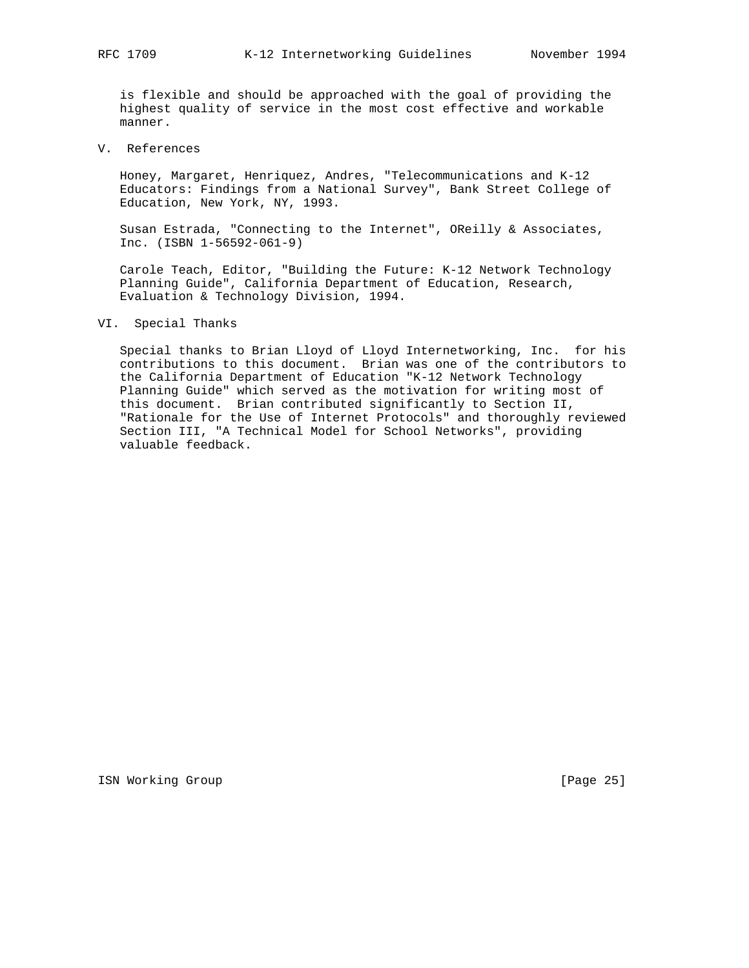is flexible and should be approached with the goal of providing the highest quality of service in the most cost effective and workable manner.

V. References

 Honey, Margaret, Henriquez, Andres, "Telecommunications and K-12 Educators: Findings from a National Survey", Bank Street College of Education, New York, NY, 1993.

 Susan Estrada, "Connecting to the Internet", OReilly & Associates, Inc. (ISBN 1-56592-061-9)

 Carole Teach, Editor, "Building the Future: K-12 Network Technology Planning Guide", California Department of Education, Research, Evaluation & Technology Division, 1994.

## VI. Special Thanks

 Special thanks to Brian Lloyd of Lloyd Internetworking, Inc. for his contributions to this document. Brian was one of the contributors to the California Department of Education "K-12 Network Technology Planning Guide" which served as the motivation for writing most of this document. Brian contributed significantly to Section II, "Rationale for the Use of Internet Protocols" and thoroughly reviewed Section III, "A Technical Model for School Networks", providing valuable feedback.